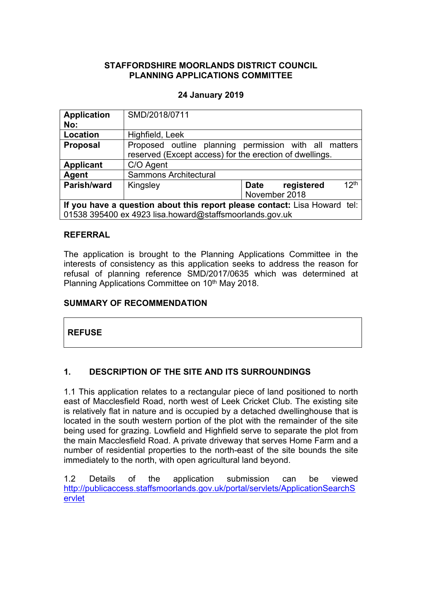### **STAFFORDSHIRE MOORLANDS DISTRICT COUNCIL PLANNING APPLICATIONS COMMITTEE**

### **24 January 2019**

| <b>Application</b>                                                        | SMD/2018/0711                                           |                                                       |  |
|---------------------------------------------------------------------------|---------------------------------------------------------|-------------------------------------------------------|--|
| No:                                                                       |                                                         |                                                       |  |
| Location                                                                  | Highfield, Leek                                         |                                                       |  |
| <b>Proposal</b>                                                           |                                                         | Proposed outline planning permission with all matters |  |
|                                                                           | reserved (Except access) for the erection of dwellings. |                                                       |  |
| <b>Applicant</b>                                                          | C/O Agent                                               |                                                       |  |
| Agent                                                                     | <b>Sammons Architectural</b>                            |                                                       |  |
| Parish/ward                                                               | Kingsley                                                | 12 <sup>th</sup><br>Date<br>registered                |  |
|                                                                           |                                                         | November 2018                                         |  |
| If you have a question about this report please contact: Lisa Howard tel: |                                                         |                                                       |  |
| 01538 395400 ex 4923 lisa.howard@staffsmoorlands.gov.uk                   |                                                         |                                                       |  |

### **REFERRAL**

The application is brought to the Planning Applications Committee in the interests of consistency as this application seeks to address the reason for refusal of planning reference SMD/2017/0635 which was determined at Planning Applications Committee on 10<sup>th</sup> May 2018.

## **SUMMARY OF RECOMMENDATION**

## **REFUSE**

## **1. DESCRIPTION OF THE SITE AND ITS SURROUNDINGS**

1.1 This application relates to a rectangular piece of land positioned to north east of Macclesfield Road, north west of Leek Cricket Club. The existing site is relatively flat in nature and is occupied by a detached dwellinghouse that is located in the south western portion of the plot with the remainder of the site being used for grazing. Lowfield and Highfield serve to separate the plot from the main Macclesfield Road. A private driveway that serves Home Farm and a number of residential properties to the north-east of the site bounds the site immediately to the north, with open agricultural land beyond.

1.2 Details of the application submission can be viewed [http://publicaccess.staffsmoorlands.gov.uk/portal/servlets/ApplicationSearchS](http://publicaccess.staffsmoorlands.gov.uk/portal/servlets/ApplicationSearchServlet) [ervlet](http://publicaccess.staffsmoorlands.gov.uk/portal/servlets/ApplicationSearchServlet)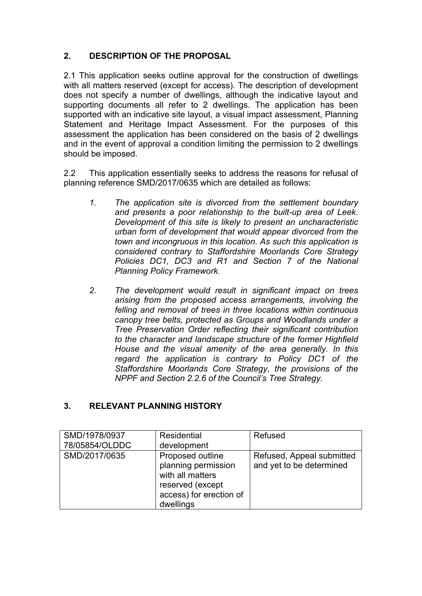# **2. DESCRIPTION OF THE PROPOSAL**

2.1 This application seeks outline approval for the construction of dwellings with all matters reserved (except for access). The description of development does not specify a number of dwellings, although the indicative layout and supporting documents all refer to 2 dwellings. The application has been supported with an indicative site layout, a visual impact assessment, Planning Statement and Heritage Impact Assessment. For the purposes of this assessment the application has been considered on the basis of 2 dwellings and in the event of approval a condition limiting the permission to 2 dwellings should be imposed.

2.2 This application essentially seeks to address the reasons for refusal of planning reference SMD/2017/0635 which are detailed as follows:

- *1. The application site is divorced from the settlement boundary and presents a poor relationship to the built-up area of Leek. Development of this site is likely to present an uncharacteristic urban form of development that would appear divorced from the town and incongruous in this location. As such this application is considered contrary to Staffordshire Moorlands Core Strategy Policies DC1, DC3 and R1 and Section 7 of the National Planning Policy Framework.*
- *2. The development would result in significant impact on trees arising from the proposed access arrangements, involving the felling and removal of trees in three locations within continuous canopy tree belts, protected as Groups and Woodlands under a Tree Preservation Order reflecting their significant contribution to the character and landscape structure of the former Highfield House and the visual amenity of the area generally. In this regard the application is contrary to Policy DC1 of the Staffordshire Moorlands Core Strategy, the provisions of the NPPF and Section 2.2.6 of the Council's Tree Strategy.*

## **3. RELEVANT PLANNING HISTORY**

| SMD/1978/0937  | <b>Residential</b>                                                                                                      | Refused                                               |
|----------------|-------------------------------------------------------------------------------------------------------------------------|-------------------------------------------------------|
| 78/05854/OLDDC | development                                                                                                             |                                                       |
| SMD/2017/0635  | Proposed outline<br>planning permission<br>with all matters<br>reserved (except<br>access) for erection of<br>dwellings | Refused, Appeal submitted<br>and yet to be determined |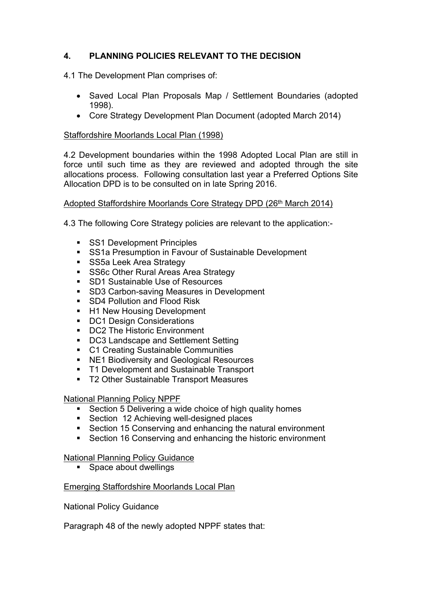# **4. PLANNING POLICIES RELEVANT TO THE DECISION**

4.1 The Development Plan comprises of:

- Saved Local Plan Proposals Map / Settlement Boundaries (adopted 1998).
- Core Strategy Development Plan Document (adopted March 2014)

### Staffordshire Moorlands Local Plan (1998)

4.2 Development boundaries within the 1998 Adopted Local Plan are still in force until such time as they are reviewed and adopted through the site allocations process. Following consultation last year a Preferred Options Site Allocation DPD is to be consulted on in late Spring 2016.

### Adopted Staffordshire Moorlands Core Strategy DPD (26<sup>th</sup> March 2014)

4.3 The following Core Strategy policies are relevant to the application:-

- SS1 Development Principles
- SS1a Presumption in Favour of Sustainable Development
- SS5a Leek Area Strategy
- **SS6c Other Rural Areas Area Strategy**
- SD1 Sustainable Use of Resources
- **SD3 Carbon-saving Measures in Development**
- SD4 Pollution and Flood Risk
- H1 New Housing Development
- DC1 Design Considerations
- DC2 The Historic Environment
- DC3 Landscape and Settlement Setting
- C1 Creating Sustainable Communities
- NE1 Biodiversity and Geological Resources
- **T1 Development and Sustainable Transport**
- T2 Other Sustainable Transport Measures

### National Planning Policy NPPF

- Section 5 Delivering a wide choice of high quality homes
- Section 12 Achieving well-designed places
- Section 15 Conserving and enhancing the natural environment
- Section 16 Conserving and enhancing the historic environment

### National Planning Policy Guidance

■ Space about dwellings

## Emerging Staffordshire Moorlands Local Plan

National Policy Guidance

Paragraph 48 of the newly adopted NPPF states that: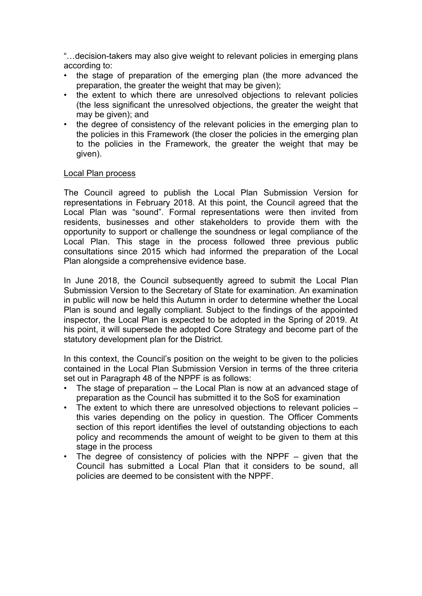"…decision-takers may also give weight to relevant policies in emerging plans according to:

- the stage of preparation of the emerging plan (the more advanced the preparation, the greater the weight that may be given);
- the extent to which there are unresolved objections to relevant policies (the less significant the unresolved objections, the greater the weight that may be given); and
- the degree of consistency of the relevant policies in the emerging plan to the policies in this Framework (the closer the policies in the emerging plan to the policies in the Framework, the greater the weight that may be given).

#### Local Plan process

The Council agreed to publish the Local Plan Submission Version for representations in February 2018. At this point, the Council agreed that the Local Plan was "sound". Formal representations were then invited from residents, businesses and other stakeholders to provide them with the opportunity to support or challenge the soundness or legal compliance of the Local Plan. This stage in the process followed three previous public consultations since 2015 which had informed the preparation of the Local Plan alongside a comprehensive evidence base.

In June 2018, the Council subsequently agreed to submit the Local Plan Submission Version to the Secretary of State for examination. An examination in public will now be held this Autumn in order to determine whether the Local Plan is sound and legally compliant. Subject to the findings of the appointed inspector, the Local Plan is expected to be adopted in the Spring of 2019. At his point, it will supersede the adopted Core Strategy and become part of the statutory development plan for the District.

In this context, the Council's position on the weight to be given to the policies contained in the Local Plan Submission Version in terms of the three criteria set out in Paragraph 48 of the NPPF is as follows:

- The stage of preparation  $-$  the Local Plan is now at an advanced stage of preparation as the Council has submitted it to the SoS for examination
- The extent to which there are unresolved objections to relevant policies this varies depending on the policy in question. The Officer Comments section of this report identifies the level of outstanding objections to each policy and recommends the amount of weight to be given to them at this stage in the process
- The degree of consistency of policies with the NPPF given that the Council has submitted a Local Plan that it considers to be sound, all policies are deemed to be consistent with the NPPF.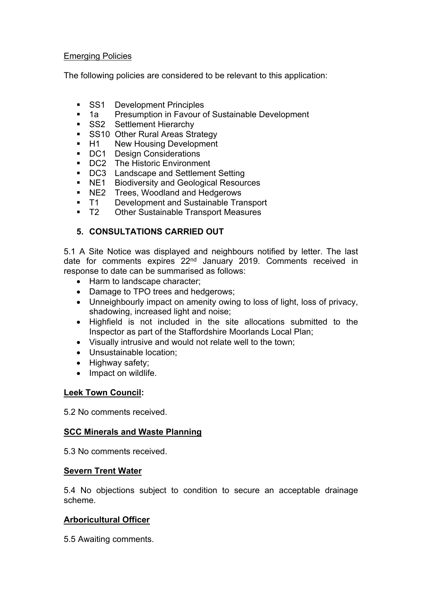### Emerging Policies

The following policies are considered to be relevant to this application:

- SS1 Development Principles<br>• 1a Presumption in Favour d
- Presumption in Favour of Sustainable Development
- SS2 Settlement Hierarchy
- SS10 Other Rural Areas Strategy
- H1 New Housing Development
- DC1 Design Considerations
- **DC2** The Historic Environment
- **DC3** Landscape and Settlement Setting
- **NE1** Biodiversity and Geological Resources
- 
- **NE2** Trees, Woodland and Hedgerows<br>T1 Development and Sustainable Tra **T1** Development and Sustainable Transport
- T2 Other Sustainable Transport Measures

## **5. CONSULTATIONS CARRIED OUT**

5.1 A Site Notice was displayed and neighbours notified by letter. The last date for comments expires 22<sup>nd</sup> January 2019. Comments received in response to date can be summarised as follows:

- Harm to landscape character;
- Damage to TPO trees and hedgerows;
- Unneighbourly impact on amenity owing to loss of light, loss of privacy, shadowing, increased light and noise;
- Highfield is not included in the site allocations submitted to the Inspector as part of the Staffordshire Moorlands Local Plan;
- Visually intrusive and would not relate well to the town;
- Unsustainable location;
- Highway safety;
- Impact on wildlife.

### **Leek Town Council:**

5.2 No comments received.

### **SCC Minerals and Waste Planning**

5.3 No comments received.

### **Severn Trent Water**

5.4 No objections subject to condition to secure an acceptable drainage scheme.

## **Arboricultural Officer**

5.5 Awaiting comments.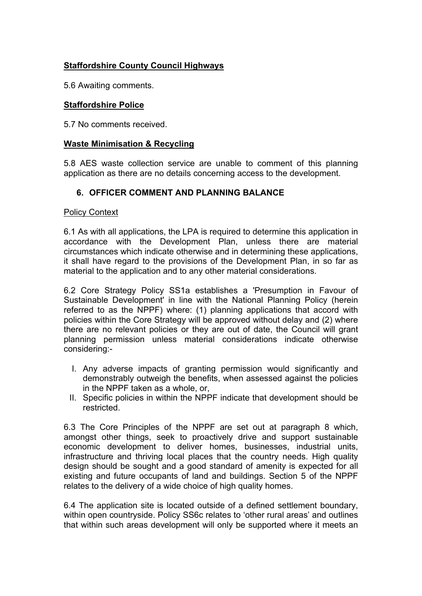## **Staffordshire County Council Highways**

5.6 Awaiting comments.

### **Staffordshire Police**

5.7 No comments received.

### **Waste Minimisation & Recycling**

5.8 AES waste collection service are unable to comment of this planning application as there are no details concerning access to the development.

### **6. OFFICER COMMENT AND PLANNING BALANCE**

#### Policy Context

6.1 As with all applications, the LPA is required to determine this application in accordance with the Development Plan, unless there are material circumstances which indicate otherwise and in determining these applications, it shall have regard to the provisions of the Development Plan, in so far as material to the application and to any other material considerations.

6.2 Core Strategy Policy SS1a establishes a 'Presumption in Favour of Sustainable Development' in line with the National Planning Policy (herein referred to as the NPPF) where: (1) planning applications that accord with policies within the Core Strategy will be approved without delay and (2) where there are no relevant policies or they are out of date, the Council will grant planning permission unless material considerations indicate otherwise considering:-

- I. Any adverse impacts of granting permission would significantly and demonstrably outweigh the benefits, when assessed against the policies in the NPPF taken as a whole, or,
- II. Specific policies in within the NPPF indicate that development should be restricted.

6.3 The Core Principles of the NPPF are set out at paragraph 8 which, amongst other things, seek to proactively drive and support sustainable economic development to deliver homes, businesses, industrial units, infrastructure and thriving local places that the country needs. High quality design should be sought and a good standard of amenity is expected for all existing and future occupants of land and buildings. Section 5 of the NPPF relates to the delivery of a wide choice of high quality homes.

6.4 The application site is located outside of a defined settlement boundary, within open countryside. Policy SS6c relates to 'other rural areas' and outlines that within such areas development will only be supported where it meets an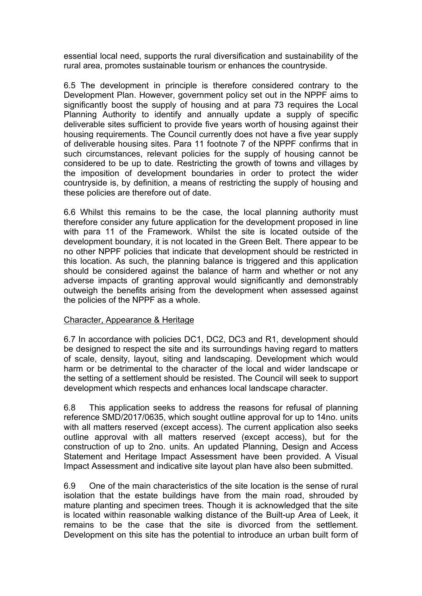essential local need, supports the rural diversification and sustainability of the rural area, promotes sustainable tourism or enhances the countryside.

6.5 The development in principle is therefore considered contrary to the Development Plan. However, government policy set out in the NPPF aims to significantly boost the supply of housing and at para 73 requires the Local Planning Authority to identify and annually update a supply of specific deliverable sites sufficient to provide five years worth of housing against their housing requirements. The Council currently does not have a five year supply of deliverable housing sites. Para 11 footnote 7 of the NPPF confirms that in such circumstances, relevant policies for the supply of housing cannot be considered to be up to date. Restricting the growth of towns and villages by the imposition of development boundaries in order to protect the wider countryside is, by definition, a means of restricting the supply of housing and these policies are therefore out of date.

6.6 Whilst this remains to be the case, the local planning authority must therefore consider any future application for the development proposed in line with para 11 of the Framework. Whilst the site is located outside of the development boundary, it is not located in the Green Belt. There appear to be no other NPPF policies that indicate that development should be restricted in this location. As such, the planning balance is triggered and this application should be considered against the balance of harm and whether or not any adverse impacts of granting approval would significantly and demonstrably outweigh the benefits arising from the development when assessed against the policies of the NPPF as a whole.

### Character, Appearance & Heritage

6.7 In accordance with policies DC1, DC2, DC3 and R1, development should be designed to respect the site and its surroundings having regard to matters of scale, density, layout, siting and landscaping. Development which would harm or be detrimental to the character of the local and wider landscape or the setting of a settlement should be resisted. The Council will seek to support development which respects and enhances local landscape character.

6.8 This application seeks to address the reasons for refusal of planning reference SMD/2017/0635, which sought outline approval for up to 14no. units with all matters reserved (except access). The current application also seeks outline approval with all matters reserved (except access), but for the construction of up to 2no. units. An updated Planning, Design and Access Statement and Heritage Impact Assessment have been provided. A Visual Impact Assessment and indicative site layout plan have also been submitted.

6.9 One of the main characteristics of the site location is the sense of rural isolation that the estate buildings have from the main road, shrouded by mature planting and specimen trees. Though it is acknowledged that the site is located within reasonable walking distance of the Built-up Area of Leek, it remains to be the case that the site is divorced from the settlement. Development on this site has the potential to introduce an urban built form of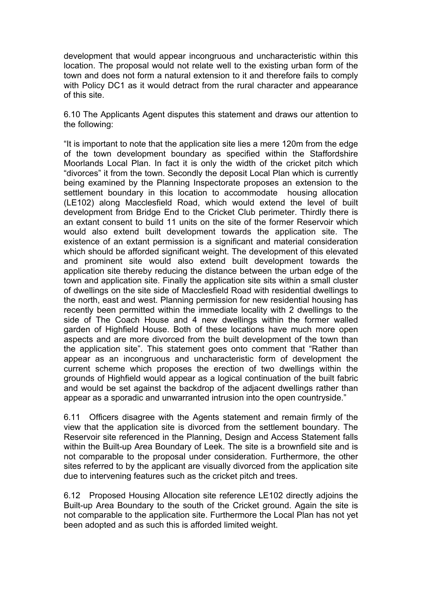development that would appear incongruous and uncharacteristic within this location. The proposal would not relate well to the existing urban form of the town and does not form a natural extension to it and therefore fails to comply with Policy DC1 as it would detract from the rural character and appearance of this site.

6.10 The Applicants Agent disputes this statement and draws our attention to the following:

"It is important to note that the application site lies a mere 120m from the edge of the town development boundary as specified within the Staffordshire Moorlands Local Plan. In fact it is only the width of the cricket pitch which "divorces" it from the town. Secondly the deposit Local Plan which is currently being examined by the Planning Inspectorate proposes an extension to the settlement boundary in this location to accommodate housing allocation (LE102) along Macclesfield Road, which would extend the level of built development from Bridge End to the Cricket Club perimeter. Thirdly there is an extant consent to build 11 units on the site of the former Reservoir which would also extend built development towards the application site. The existence of an extant permission is a significant and material consideration which should be afforded significant weight. The development of this elevated and prominent site would also extend built development towards the application site thereby reducing the distance between the urban edge of the town and application site. Finally the application site sits within a small cluster of dwellings on the site side of Macclesfield Road with residential dwellings to the north, east and west. Planning permission for new residential housing has recently been permitted within the immediate locality with 2 dwellings to the side of The Coach House and 4 new dwellings within the former walled garden of Highfield House. Both of these locations have much more open aspects and are more divorced from the built development of the town than the application site". This statement goes onto comment that "Rather than appear as an incongruous and uncharacteristic form of development the current scheme which proposes the erection of two dwellings within the grounds of Highfield would appear as a logical continuation of the built fabric and would be set against the backdrop of the adjacent dwellings rather than appear as a sporadic and unwarranted intrusion into the open countryside."

6.11 Officers disagree with the Agents statement and remain firmly of the view that the application site is divorced from the settlement boundary. The Reservoir site referenced in the Planning, Design and Access Statement falls within the Built-up Area Boundary of Leek. The site is a brownfield site and is not comparable to the proposal under consideration. Furthermore, the other sites referred to by the applicant are visually divorced from the application site due to intervening features such as the cricket pitch and trees.

6.12 Proposed Housing Allocation site reference LE102 directly adjoins the Built-up Area Boundary to the south of the Cricket ground. Again the site is not comparable to the application site. Furthermore the Local Plan has not yet been adopted and as such this is afforded limited weight.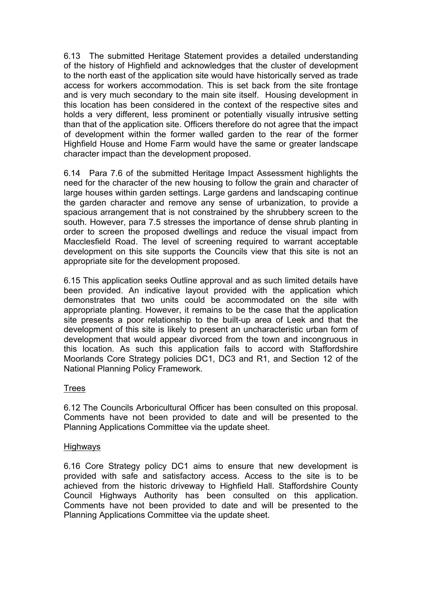6.13 The submitted Heritage Statement provides a detailed understanding of the history of Highfield and acknowledges that the cluster of development to the north east of the application site would have historically served as trade access for workers accommodation. This is set back from the site frontage and is very much secondary to the main site itself. Housing development in this location has been considered in the context of the respective sites and holds a very different, less prominent or potentially visually intrusive setting than that of the application site. Officers therefore do not agree that the impact of development within the former walled garden to the rear of the former Highfield House and Home Farm would have the same or greater landscape character impact than the development proposed.

6.14 Para 7.6 of the submitted Heritage Impact Assessment highlights the need for the character of the new housing to follow the grain and character of large houses within garden settings. Large gardens and landscaping continue the garden character and remove any sense of urbanization, to provide a spacious arrangement that is not constrained by the shrubbery screen to the south. However, para 7.5 stresses the importance of dense shrub planting in order to screen the proposed dwellings and reduce the visual impact from Macclesfield Road. The level of screening required to warrant acceptable development on this site supports the Councils view that this site is not an appropriate site for the development proposed.

6.15 This application seeks Outline approval and as such limited details have been provided. An indicative layout provided with the application which demonstrates that two units could be accommodated on the site with appropriate planting. However, it remains to be the case that the application site presents a poor relationship to the built-up area of Leek and that the development of this site is likely to present an uncharacteristic urban form of development that would appear divorced from the town and incongruous in this location. As such this application fails to accord with Staffordshire Moorlands Core Strategy policies DC1, DC3 and R1, and Section 12 of the National Planning Policy Framework.

### Trees

6.12 The Councils Arboricultural Officer has been consulted on this proposal. Comments have not been provided to date and will be presented to the Planning Applications Committee via the update sheet.

#### Highways

6.16 Core Strategy policy DC1 aims to ensure that new development is provided with safe and satisfactory access. Access to the site is to be achieved from the historic driveway to Highfield Hall. Staffordshire County Council Highways Authority has been consulted on this application. Comments have not been provided to date and will be presented to the Planning Applications Committee via the update sheet.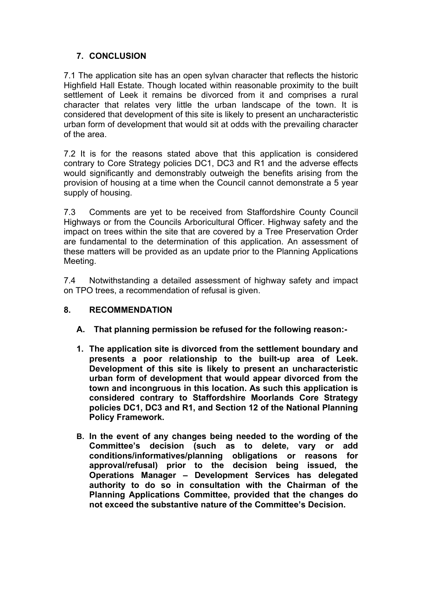## **7. CONCLUSION**

7.1 The application site has an open sylvan character that reflects the historic Highfield Hall Estate. Though located within reasonable proximity to the built settlement of Leek it remains be divorced from it and comprises a rural character that relates very little the urban landscape of the town. It is considered that development of this site is likely to present an uncharacteristic urban form of development that would sit at odds with the prevailing character of the area.

7.2 It is for the reasons stated above that this application is considered contrary to Core Strategy policies DC1, DC3 and R1 and the adverse effects would significantly and demonstrably outweigh the benefits arising from the provision of housing at a time when the Council cannot demonstrate a 5 year supply of housing.

7.3 Comments are yet to be received from Staffordshire County Council Highways or from the Councils Arboricultural Officer. Highway safety and the impact on trees within the site that are covered by a Tree Preservation Order are fundamental to the determination of this application. An assessment of these matters will be provided as an update prior to the Planning Applications Meeting.

7.4 Notwithstanding a detailed assessment of highway safety and impact on TPO trees, a recommendation of refusal is given.

## **8. RECOMMENDATION**

- **A. That planning permission be refused for the following reason:-**
- **1. The application site is divorced from the settlement boundary and presents a poor relationship to the built-up area of Leek. Development of this site is likely to present an uncharacteristic urban form of development that would appear divorced from the town and incongruous in this location. As such this application is considered contrary to Staffordshire Moorlands Core Strategy policies DC1, DC3 and R1, and Section 12 of the National Planning Policy Framework.**
- **B. In the event of any changes being needed to the wording of the Committee's decision (such as to delete, vary or add conditions/informatives/planning obligations or reasons for approval/refusal) prior to the decision being issued, the Operations Manager – Development Services has delegated authority to do so in consultation with the Chairman of the Planning Applications Committee, provided that the changes do not exceed the substantive nature of the Committee's Decision.**